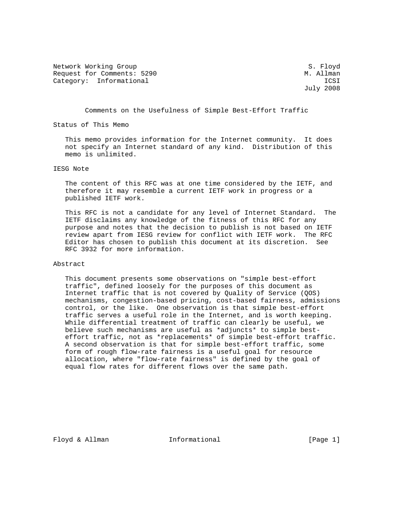Network Working Group S. Floyd Request for Comments: 5290 M. Allman Category: Informational icsues and the set of the set of the set of the set of the set of the set of the set of the set of the set of the set of the set of the set of the set of the set of the set of the set of the set of

July 2008

Comments on the Usefulness of Simple Best-Effort Traffic

Status of This Memo

 This memo provides information for the Internet community. It does not specify an Internet standard of any kind. Distribution of this memo is unlimited.

### IESG Note

 The content of this RFC was at one time considered by the IETF, and therefore it may resemble a current IETF work in progress or a published IETF work.

 This RFC is not a candidate for any level of Internet Standard. The IETF disclaims any knowledge of the fitness of this RFC for any purpose and notes that the decision to publish is not based on IETF review apart from IESG review for conflict with IETF work. The RFC Editor has chosen to publish this document at its discretion. See RFC 3932 for more information.

#### Abstract

 This document presents some observations on "simple best-effort traffic", defined loosely for the purposes of this document as Internet traffic that is not covered by Quality of Service (QOS) mechanisms, congestion-based pricing, cost-based fairness, admissions control, or the like. One observation is that simple best-effort traffic serves a useful role in the Internet, and is worth keeping. While differential treatment of traffic can clearly be useful, we believe such mechanisms are useful as \*adjuncts\* to simple best effort traffic, not as \*replacements\* of simple best-effort traffic. A second observation is that for simple best-effort traffic, some form of rough flow-rate fairness is a useful goal for resource allocation, where "flow-rate fairness" is defined by the goal of equal flow rates for different flows over the same path.

Floyd & Allman **Informational** [Page 1]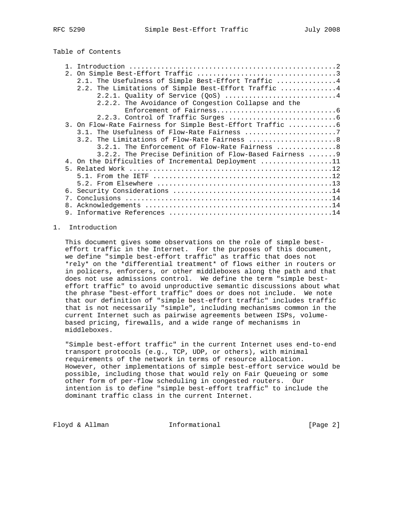|  |  | Table of Contents |
|--|--|-------------------|
|--|--|-------------------|

|    | 2.1. The Usefulness of Simple Best-Effort Traffic 4     |
|----|---------------------------------------------------------|
|    | 2.2. The Limitations of Simple Best-Effort Traffic 4    |
|    | 2.2.1. Ouality of Service (QoS) 4                       |
|    | 2.2.2. The Avoidance of Congestion Collapse and the     |
|    |                                                         |
|    |                                                         |
|    | 3. On Flow-Rate Fairness for Simple Best-Effort Traffic |
|    | 3.1. The Usefulness of Flow-Rate Fairness 7             |
|    | 3.2. The Limitations of Flow-Rate Fairness 8            |
|    | $3.2.1$ . The Enforcement of Flow-Rate Fairness 8       |
|    | 3.2.2. The Precise Definition of Flow-Based Fairness  9 |
|    | 4. On the Difficulties of Incremental Deployment 11     |
|    |                                                         |
|    |                                                         |
|    |                                                         |
| б. |                                                         |
|    |                                                         |
|    |                                                         |
|    |                                                         |

## 1. Introduction

 This document gives some observations on the role of simple best effort traffic in the Internet. For the purposes of this document, we define "simple best-effort traffic" as traffic that does not \*rely\* on the \*differential treatment\* of flows either in routers or in policers, enforcers, or other middleboxes along the path and that does not use admissions control. We define the term "simple best effort traffic" to avoid unproductive semantic discussions about what the phrase "best-effort traffic" does or does not include. We note that our definition of "simple best-effort traffic" includes traffic that is not necessarily "simple", including mechanisms common in the current Internet such as pairwise agreements between ISPs, volume based pricing, firewalls, and a wide range of mechanisms in middleboxes.

 "Simple best-effort traffic" in the current Internet uses end-to-end transport protocols (e.g., TCP, UDP, or others), with minimal requirements of the network in terms of resource allocation. However, other implementations of simple best-effort service would be possible, including those that would rely on Fair Queueing or some other form of per-flow scheduling in congested routers. Our intention is to define "simple best-effort traffic" to include the dominant traffic class in the current Internet.

Floyd & Allman **Informational Informational** [Page 2]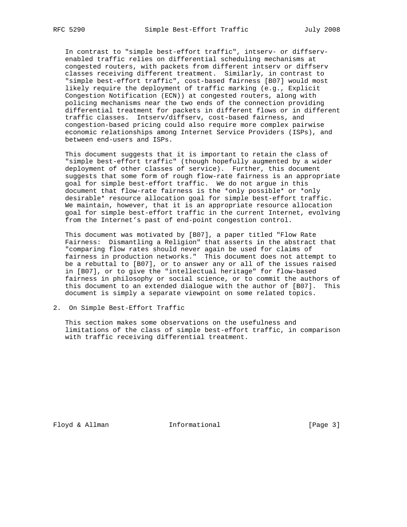In contrast to "simple best-effort traffic", intserv- or diffserv enabled traffic relies on differential scheduling mechanisms at congested routers, with packets from different intserv or diffserv classes receiving different treatment. Similarly, in contrast to "simple best-effort traffic", cost-based fairness [B07] would most likely require the deployment of traffic marking (e.g., Explicit Congestion Notification (ECN)) at congested routers, along with policing mechanisms near the two ends of the connection providing differential treatment for packets in different flows or in different traffic classes. Intserv/diffserv, cost-based fairness, and congestion-based pricing could also require more complex pairwise economic relationships among Internet Service Providers (ISPs), and between end-users and ISPs.

 This document suggests that it is important to retain the class of "simple best-effort traffic" (though hopefully augmented by a wider deployment of other classes of service). Further, this document suggests that some form of rough flow-rate fairness is an appropriate goal for simple best-effort traffic. We do not argue in this document that flow-rate fairness is the \*only possible\* or \*only desirable\* resource allocation goal for simple best-effort traffic. We maintain, however, that it is an appropriate resource allocation goal for simple best-effort traffic in the current Internet, evolving from the Internet's past of end-point congestion control.

 This document was motivated by [B07], a paper titled "Flow Rate Fairness: Dismantling a Religion" that asserts in the abstract that "comparing flow rates should never again be used for claims of fairness in production networks." This document does not attempt to be a rebuttal to [B07], or to answer any or all of the issues raised in [B07], or to give the "intellectual heritage" for flow-based fairness in philosophy or social science, or to commit the authors of this document to an extended dialogue with the author of [B07]. This document is simply a separate viewpoint on some related topics.

2. On Simple Best-Effort Traffic

 This section makes some observations on the usefulness and limitations of the class of simple best-effort traffic, in comparison with traffic receiving differential treatment.

Floyd & Allman Informational [Page 3]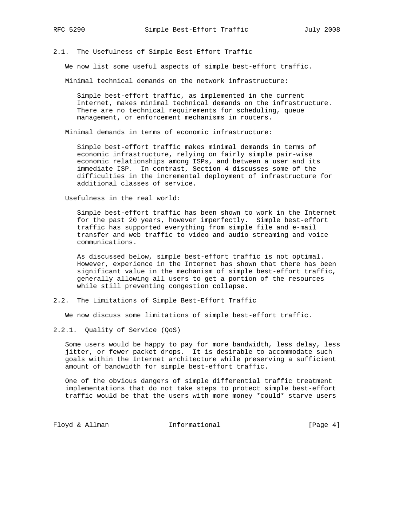2.1. The Usefulness of Simple Best-Effort Traffic

We now list some useful aspects of simple best-effort traffic.

Minimal technical demands on the network infrastructure:

 Simple best-effort traffic, as implemented in the current Internet, makes minimal technical demands on the infrastructure. There are no technical requirements for scheduling, queue management, or enforcement mechanisms in routers.

Minimal demands in terms of economic infrastructure:

 Simple best-effort traffic makes minimal demands in terms of economic infrastructure, relying on fairly simple pair-wise economic relationships among ISPs, and between a user and its immediate ISP. In contrast, Section 4 discusses some of the difficulties in the incremental deployment of infrastructure for additional classes of service.

Usefulness in the real world:

 Simple best-effort traffic has been shown to work in the Internet for the past 20 years, however imperfectly. Simple best-effort traffic has supported everything from simple file and e-mail transfer and web traffic to video and audio streaming and voice communications.

 As discussed below, simple best-effort traffic is not optimal. However, experience in the Internet has shown that there has been significant value in the mechanism of simple best-effort traffic, generally allowing all users to get a portion of the resources while still preventing congestion collapse.

#### 2.2. The Limitations of Simple Best-Effort Traffic

We now discuss some limitations of simple best-effort traffic.

2.2.1. Quality of Service (QoS)

 Some users would be happy to pay for more bandwidth, less delay, less jitter, or fewer packet drops. It is desirable to accommodate such goals within the Internet architecture while preserving a sufficient amount of bandwidth for simple best-effort traffic.

 One of the obvious dangers of simple differential traffic treatment implementations that do not take steps to protect simple best-effort traffic would be that the users with more money \*could\* starve users

Floyd & Allman Informational [Page 4]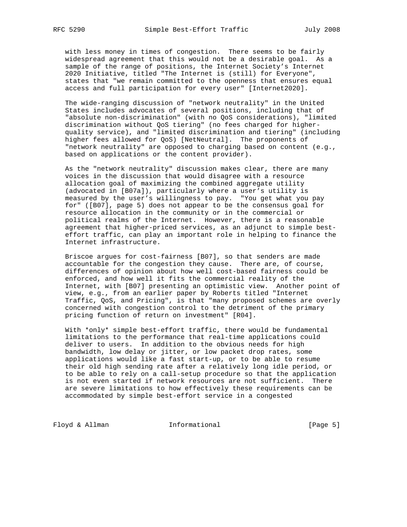with less money in times of congestion. There seems to be fairly widespread agreement that this would not be a desirable goal. As a sample of the range of positions, the Internet Society's Internet 2020 Initiative, titled "The Internet is (still) for Everyone", states that "we remain committed to the openness that ensures equal access and full participation for every user" [Internet2020].

 The wide-ranging discussion of "network neutrality" in the United States includes advocates of several positions, including that of "absolute non-discrimination" (with no QoS considerations), "limited discrimination without QoS tiering" (no fees charged for higher quality service), and "limited discrimination and tiering" (including higher fees allowed for QoS) [NetNeutral]. The proponents of "network neutrality" are opposed to charging based on content (e.g., based on applications or the content provider).

 As the "network neutrality" discussion makes clear, there are many voices in the discussion that would disagree with a resource allocation goal of maximizing the combined aggregate utility (advocated in [B07a]), particularly where a user's utility is measured by the user's willingness to pay. "You get what you pay for" ([B07], page 5) does not appear to be the consensus goal for resource allocation in the community or in the commercial or political realms of the Internet. However, there is a reasonable agreement that higher-priced services, as an adjunct to simple best effort traffic, can play an important role in helping to finance the Internet infrastructure.

 Briscoe argues for cost-fairness [B07], so that senders are made accountable for the congestion they cause. There are, of course, differences of opinion about how well cost-based fairness could be enforced, and how well it fits the commercial reality of the Internet, with [B07] presenting an optimistic view. Another point of view, e.g., from an earlier paper by Roberts titled "Internet Traffic, QoS, and Pricing", is that "many proposed schemes are overly concerned with congestion control to the detriment of the primary pricing function of return on investment" [R04].

 With \*only\* simple best-effort traffic, there would be fundamental limitations to the performance that real-time applications could deliver to users. In addition to the obvious needs for high bandwidth, low delay or jitter, or low packet drop rates, some applications would like a fast start-up, or to be able to resume their old high sending rate after a relatively long idle period, or to be able to rely on a call-setup procedure so that the application is not even started if network resources are not sufficient. There are severe limitations to how effectively these requirements can be accommodated by simple best-effort service in a congested

Floyd & Allman Informational [Page 5]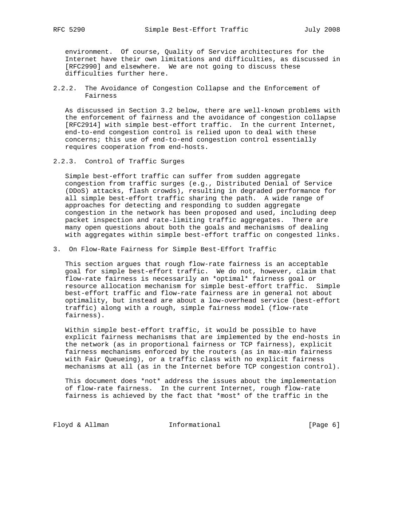environment. Of course, Quality of Service architectures for the Internet have their own limitations and difficulties, as discussed in [RFC2990] and elsewhere. We are not going to discuss these difficulties further here.

2.2.2. The Avoidance of Congestion Collapse and the Enforcement of Fairness

 As discussed in Section 3.2 below, there are well-known problems with the enforcement of fairness and the avoidance of congestion collapse [RFC2914] with simple best-effort traffic. In the current Internet, end-to-end congestion control is relied upon to deal with these concerns; this use of end-to-end congestion control essentially requires cooperation from end-hosts.

2.2.3. Control of Traffic Surges

 Simple best-effort traffic can suffer from sudden aggregate congestion from traffic surges (e.g., Distributed Denial of Service (DDoS) attacks, flash crowds), resulting in degraded performance for all simple best-effort traffic sharing the path. A wide range of approaches for detecting and responding to sudden aggregate congestion in the network has been proposed and used, including deep packet inspection and rate-limiting traffic aggregates. There are many open questions about both the goals and mechanisms of dealing with aggregates within simple best-effort traffic on congested links.

3. On Flow-Rate Fairness for Simple Best-Effort Traffic

 This section argues that rough flow-rate fairness is an acceptable goal for simple best-effort traffic. We do not, however, claim that flow-rate fairness is necessarily an \*optimal\* fairness goal or resource allocation mechanism for simple best-effort traffic. Simple best-effort traffic and flow-rate fairness are in general not about optimality, but instead are about a low-overhead service (best-effort traffic) along with a rough, simple fairness model (flow-rate fairness).

 Within simple best-effort traffic, it would be possible to have explicit fairness mechanisms that are implemented by the end-hosts in the network (as in proportional fairness or TCP fairness), explicit fairness mechanisms enforced by the routers (as in max-min fairness with Fair Queueing), or a traffic class with no explicit fairness mechanisms at all (as in the Internet before TCP congestion control).

 This document does \*not\* address the issues about the implementation of flow-rate fairness. In the current Internet, rough flow-rate fairness is achieved by the fact that \*most\* of the traffic in the

Floyd & Allman Informational [Page 6]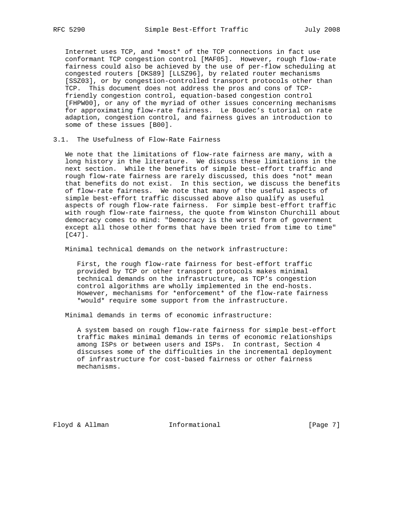Internet uses TCP, and \*most\* of the TCP connections in fact use conformant TCP congestion control [MAF05]. However, rough flow-rate fairness could also be achieved by the use of per-flow scheduling at congested routers [DKS89] [LLSZ96], by related router mechanisms [SSZ03], or by congestion-controlled transport protocols other than TCP. This document does not address the pros and cons of TCP friendly congestion control, equation-based congestion control [FHPW00], or any of the myriad of other issues concerning mechanisms for approximating flow-rate fairness. Le Boudec's tutorial on rate adaption, congestion control, and fairness gives an introduction to some of these issues [B00].

# 3.1. The Usefulness of Flow-Rate Fairness

 We note that the limitations of flow-rate fairness are many, with a long history in the literature. We discuss these limitations in the next section. While the benefits of simple best-effort traffic and rough flow-rate fairness are rarely discussed, this does \*not\* mean that benefits do not exist. In this section, we discuss the benefits of flow-rate fairness. We note that many of the useful aspects of simple best-effort traffic discussed above also qualify as useful aspects of rough flow-rate fairness. For simple best-effort traffic with rough flow-rate fairness, the quote from Winston Churchill about democracy comes to mind: "Democracy is the worst form of government except all those other forms that have been tried from time to time" [C47].

Minimal technical demands on the network infrastructure:

 First, the rough flow-rate fairness for best-effort traffic provided by TCP or other transport protocols makes minimal technical demands on the infrastructure, as TCP's congestion control algorithms are wholly implemented in the end-hosts. However, mechanisms for \*enforcement\* of the flow-rate fairness \*would\* require some support from the infrastructure.

Minimal demands in terms of economic infrastructure:

 A system based on rough flow-rate fairness for simple best-effort traffic makes minimal demands in terms of economic relationships among ISPs or between users and ISPs. In contrast, Section 4 discusses some of the difficulties in the incremental deployment of infrastructure for cost-based fairness or other fairness mechanisms.

Floyd & Allman **Informational Informational** [Page 7]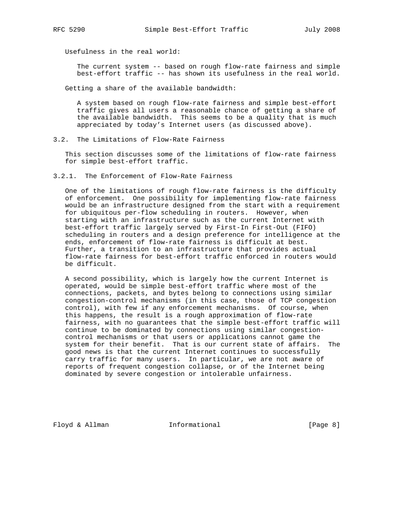Usefulness in the real world:

 The current system -- based on rough flow-rate fairness and simple best-effort traffic -- has shown its usefulness in the real world.

Getting a share of the available bandwidth:

 A system based on rough flow-rate fairness and simple best-effort traffic gives all users a reasonable chance of getting a share of the available bandwidth. This seems to be a quality that is much appreciated by today's Internet users (as discussed above).

3.2. The Limitations of Flow-Rate Fairness

 This section discusses some of the limitations of flow-rate fairness for simple best-effort traffic.

3.2.1. The Enforcement of Flow-Rate Fairness

 One of the limitations of rough flow-rate fairness is the difficulty of enforcement. One possibility for implementing flow-rate fairness would be an infrastructure designed from the start with a requirement for ubiquitous per-flow scheduling in routers. However, when starting with an infrastructure such as the current Internet with best-effort traffic largely served by First-In First-Out (FIFO) scheduling in routers and a design preference for intelligence at the ends, enforcement of flow-rate fairness is difficult at best. Further, a transition to an infrastructure that provides actual flow-rate fairness for best-effort traffic enforced in routers would be difficult.

 A second possibility, which is largely how the current Internet is operated, would be simple best-effort traffic where most of the connections, packets, and bytes belong to connections using similar congestion-control mechanisms (in this case, those of TCP congestion control), with few if any enforcement mechanisms. Of course, when this happens, the result is a rough approximation of flow-rate fairness, with no guarantees that the simple best-effort traffic will continue to be dominated by connections using similar congestion control mechanisms or that users or applications cannot game the system for their benefit. That is our current state of affairs. The good news is that the current Internet continues to successfully carry traffic for many users. In particular, we are not aware of reports of frequent congestion collapse, or of the Internet being dominated by severe congestion or intolerable unfairness.

Floyd & Allman **Informational Informational** [Page 8]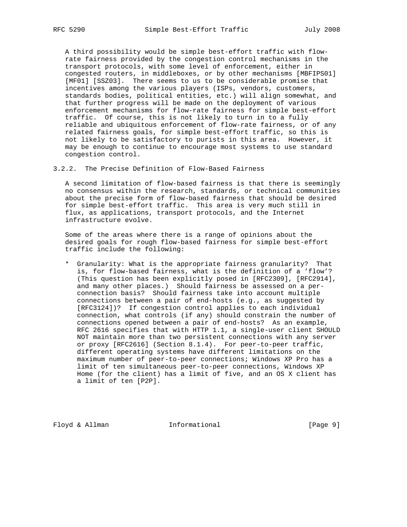A third possibility would be simple best-effort traffic with flow rate fairness provided by the congestion control mechanisms in the transport protocols, with some level of enforcement, either in congested routers, in middleboxes, or by other mechanisms [MBFIPS01] [MF01] [SSZ03]. There seems to us to be considerable promise that incentives among the various players (ISPs, vendors, customers, standards bodies, political entities, etc.) will align somewhat, and that further progress will be made on the deployment of various enforcement mechanisms for flow-rate fairness for simple best-effort traffic. Of course, this is not likely to turn in to a fully reliable and ubiquitous enforcement of flow-rate fairness, or of any related fairness goals, for simple best-effort traffic, so this is not likely to be satisfactory to purists in this area. However, it may be enough to continue to encourage most systems to use standard congestion control.

3.2.2. The Precise Definition of Flow-Based Fairness

 A second limitation of flow-based fairness is that there is seemingly no consensus within the research, standards, or technical communities about the precise form of flow-based fairness that should be desired for simple best-effort traffic. This area is very much still in flux, as applications, transport protocols, and the Internet infrastructure evolve.

 Some of the areas where there is a range of opinions about the desired goals for rough flow-based fairness for simple best-effort traffic include the following:

 \* Granularity: What is the appropriate fairness granularity? That is, for flow-based fairness, what is the definition of a 'flow'? (This question has been explicitly posed in [RFC2309], [RFC2914], and many other places.) Should fairness be assessed on a per connection basis? Should fairness take into account multiple connections between a pair of end-hosts (e.g., as suggested by [RFC3124])? If congestion control applies to each individual connection, what controls (if any) should constrain the number of connections opened between a pair of end-hosts? As an example, RFC 2616 specifies that with HTTP 1.1, a single-user client SHOULD NOT maintain more than two persistent connections with any server or proxy [RFC2616] (Section 8.1.4). For peer-to-peer traffic, different operating systems have different limitations on the maximum number of peer-to-peer connections; Windows XP Pro has a limit of ten simultaneous peer-to-peer connections, Windows XP Home (for the client) has a limit of five, and an OS X client has a limit of ten [P2P].

Floyd & Allman Informational [Page 9]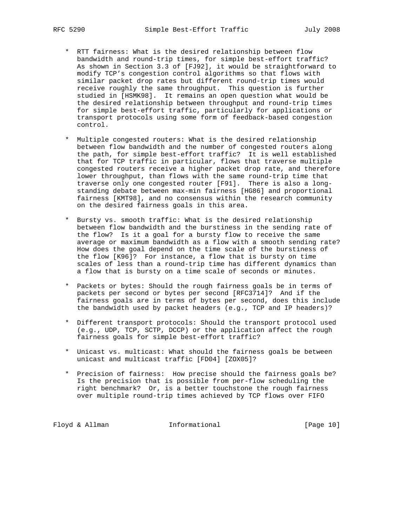- \* RTT fairness: What is the desired relationship between flow bandwidth and round-trip times, for simple best-effort traffic? As shown in Section 3.3 of [FJ92], it would be straightforward to modify TCP's congestion control algorithms so that flows with similar packet drop rates but different round-trip times would receive roughly the same throughput. This question is further studied in [HSMK98]. It remains an open question what would be the desired relationship between throughput and round-trip times for simple best-effort traffic, particularly for applications or transport protocols using some form of feedback-based congestion control.
- \* Multiple congested routers: What is the desired relationship between flow bandwidth and the number of congested routers along the path, for simple best-effort traffic? It is well established that for TCP traffic in particular, flows that traverse multiple congested routers receive a higher packet drop rate, and therefore lower throughput, than flows with the same round-trip time that traverse only one congested router [F91]. There is also a long standing debate between max-min fairness [HG86] and proportional fairness [KMT98], and no consensus within the research community on the desired fairness goals in this area.
- \* Bursty vs. smooth traffic: What is the desired relationship between flow bandwidth and the burstiness in the sending rate of the flow? Is it a goal for a bursty flow to receive the same average or maximum bandwidth as a flow with a smooth sending rate? How does the goal depend on the time scale of the burstiness of the flow [K96]? For instance, a flow that is bursty on time scales of less than a round-trip time has different dynamics than a flow that is bursty on a time scale of seconds or minutes.
- \* Packets or bytes: Should the rough fairness goals be in terms of packets per second or bytes per second [RFC3714]? And if the fairness goals are in terms of bytes per second, does this include the bandwidth used by packet headers (e.g., TCP and IP headers)?
- \* Different transport protocols: Should the transport protocol used (e.g., UDP, TCP, SCTP, DCCP) or the application affect the rough fairness goals for simple best-effort traffic?
- \* Unicast vs. multicast: What should the fairness goals be between unicast and multicast traffic [FD04] [ZOX05]?
- \* Precision of fairness: How precise should the fairness goals be? Is the precision that is possible from per-flow scheduling the right benchmark? Or, is a better touchstone the rough fairness over multiple round-trip times achieved by TCP flows over FIFO

Floyd & Allman Informational [Page 10]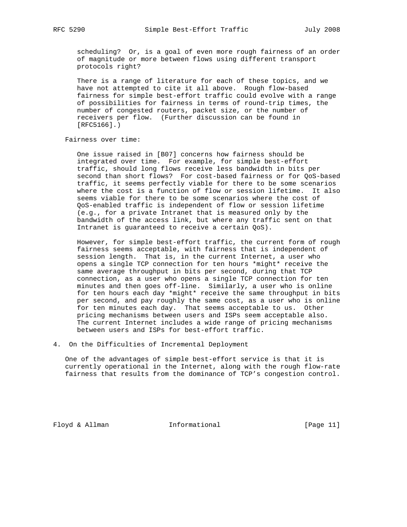scheduling? Or, is a goal of even more rough fairness of an order of magnitude or more between flows using different transport protocols right?

 There is a range of literature for each of these topics, and we have not attempted to cite it all above. Rough flow-based fairness for simple best-effort traffic could evolve with a range of possibilities for fairness in terms of round-trip times, the number of congested routers, packet size, or the number of receivers per flow. (Further discussion can be found in [RFC5166].)

Fairness over time:

 One issue raised in [B07] concerns how fairness should be integrated over time. For example, for simple best-effort traffic, should long flows receive less bandwidth in bits per second than short flows? For cost-based fairness or for QoS-based traffic, it seems perfectly viable for there to be some scenarios where the cost is a function of flow or session lifetime. It also seems viable for there to be some scenarios where the cost of QoS-enabled traffic is independent of flow or session lifetime (e.g., for a private Intranet that is measured only by the bandwidth of the access link, but where any traffic sent on that Intranet is guaranteed to receive a certain QoS).

 However, for simple best-effort traffic, the current form of rough fairness seems acceptable, with fairness that is independent of session length. That is, in the current Internet, a user who opens a single TCP connection for ten hours \*might\* receive the same average throughput in bits per second, during that TCP connection, as a user who opens a single TCP connection for ten minutes and then goes off-line. Similarly, a user who is online for ten hours each day \*might\* receive the same throughput in bits per second, and pay roughly the same cost, as a user who is online for ten minutes each day. That seems acceptable to us. Other pricing mechanisms between users and ISPs seem acceptable also. The current Internet includes a wide range of pricing mechanisms between users and ISPs for best-effort traffic.

4. On the Difficulties of Incremental Deployment

 One of the advantages of simple best-effort service is that it is currently operational in the Internet, along with the rough flow-rate fairness that results from the dominance of TCP's congestion control.

Floyd & Allman **Informational** [Page 11]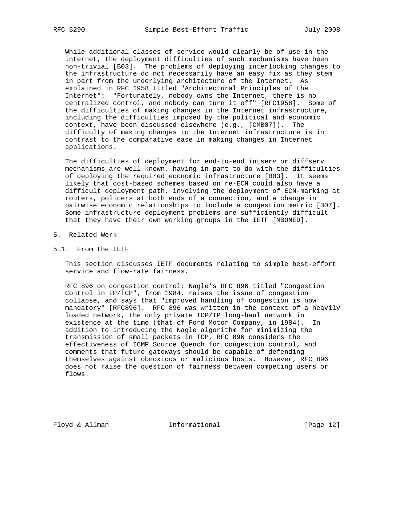While additional classes of service would clearly be of use in the Internet, the deployment difficulties of such mechanisms have been non-trivial [B03]. The problems of deploying interlocking changes to the infrastructure do not necessarily have an easy fix as they stem in part from the underlying architecture of the Internet. As explained in RFC 1958 titled "Architectural Principles of the Internet": "Fortunately, nobody owns the Internet, there is no centralized control, and nobody can turn it off" [RFC1958]. Some of the difficulties of making changes in the Internet infrastructure, including the difficulties imposed by the political and economic context, have been discussed elsewhere (e.g., [CMB07]). The difficulty of making changes to the Internet infrastructure is in contrast to the comparative ease in making changes in Internet applications.

 The difficulties of deployment for end-to-end intserv or diffserv mechanisms are well-known, having in part to do with the difficulties of deploying the required economic infrastructure [B03]. It seems likely that cost-based schemes based on re-ECN could also have a difficult deployment path, involving the deployment of ECN-marking at routers, policers at both ends of a connection, and a change in pairwise economic relationships to include a congestion metric [B07]. Some infrastructure deployment problems are sufficiently difficult that they have their own working groups in the IETF [MBONED].

- 5. Related Work
- 5.1. From the IETF

 This section discusses IETF documents relating to simple best-effort service and flow-rate fairness.

 RFC 896 on congestion control: Nagle's RFC 896 titled "Congestion Control in IP/TCP", from 1984, raises the issue of congestion collapse, and says that "improved handling of congestion is now mandatory" [RFC896]. RFC 896 was written in the context of a heavily loaded network, the only private TCP/IP long-haul network in existence at the time (that of Ford Motor Company, in 1984). In addition to introducing the Nagle algorithm for minimizing the transmission of small packets in TCP, RFC 896 considers the effectiveness of ICMP Source Quench for congestion control, and comments that future gateways should be capable of defending themselves against obnoxious or malicious hosts. However, RFC 896 does not raise the question of fairness between competing users or flows.

Floyd & Allman Informational [Page 12]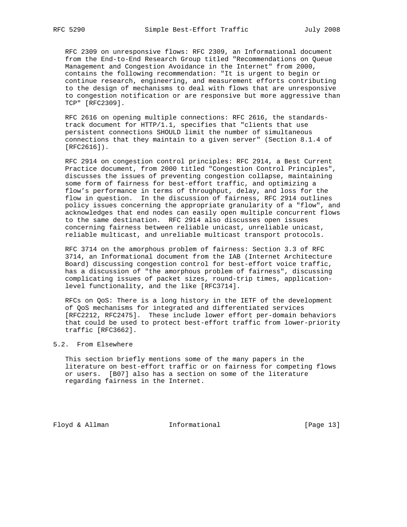RFC 2309 on unresponsive flows: RFC 2309, an Informational document from the End-to-End Research Group titled "Recommendations on Queue Management and Congestion Avoidance in the Internet" from 2000, contains the following recommendation: "It is urgent to begin or continue research, engineering, and measurement efforts contributing to the design of mechanisms to deal with flows that are unresponsive to congestion notification or are responsive but more aggressive than TCP" [RFC2309].

 RFC 2616 on opening multiple connections: RFC 2616, the standards track document for HTTP/1.1, specifies that "clients that use persistent connections SHOULD limit the number of simultaneous connections that they maintain to a given server" (Section 8.1.4 of [RFC2616]).

 RFC 2914 on congestion control principles: RFC 2914, a Best Current Practice document, from 2000 titled "Congestion Control Principles", discusses the issues of preventing congestion collapse, maintaining some form of fairness for best-effort traffic, and optimizing a flow's performance in terms of throughput, delay, and loss for the flow in question. In the discussion of fairness, RFC 2914 outlines policy issues concerning the appropriate granularity of a "flow", and acknowledges that end nodes can easily open multiple concurrent flows to the same destination. RFC 2914 also discusses open issues concerning fairness between reliable unicast, unreliable unicast, reliable multicast, and unreliable multicast transport protocols.

 RFC 3714 on the amorphous problem of fairness: Section 3.3 of RFC 3714, an Informational document from the IAB (Internet Architecture Board) discussing congestion control for best-effort voice traffic, has a discussion of "the amorphous problem of fairness", discussing complicating issues of packet sizes, round-trip times, application level functionality, and the like [RFC3714].

 RFCs on QoS: There is a long history in the IETF of the development of QoS mechanisms for integrated and differentiated services [RFC2212, RFC2475]. These include lower effort per-domain behaviors that could be used to protect best-effort traffic from lower-priority traffic [RFC3662].

### 5.2. From Elsewhere

 This section briefly mentions some of the many papers in the literature on best-effort traffic or on fairness for competing flows or users. [B07] also has a section on some of the literature regarding fairness in the Internet.

Floyd & Allman Informational [Page 13]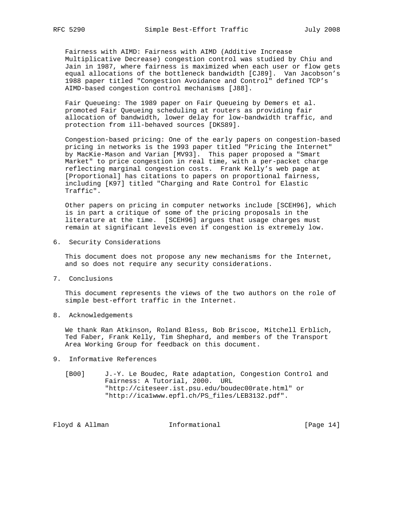Fairness with AIMD: Fairness with AIMD (Additive Increase Multiplicative Decrease) congestion control was studied by Chiu and Jain in 1987, where fairness is maximized when each user or flow gets equal allocations of the bottleneck bandwidth [CJ89]. Van Jacobson's 1988 paper titled "Congestion Avoidance and Control" defined TCP's AIMD-based congestion control mechanisms [J88].

 Fair Queueing: The 1989 paper on Fair Queueing by Demers et al. promoted Fair Queueing scheduling at routers as providing fair allocation of bandwidth, lower delay for low-bandwidth traffic, and protection from ill-behaved sources [DKS89].

 Congestion-based pricing: One of the early papers on congestion-based pricing in networks is the 1993 paper titled "Pricing the Internet" by MacKie-Mason and Varian [MV93]. This paper proposed a "Smart Market" to price congestion in real time, with a per-packet charge reflecting marginal congestion costs. Frank Kelly's web page at [Proportional] has citations to papers on proportional fairness, including [K97] titled "Charging and Rate Control for Elastic Traffic".

 Other papers on pricing in computer networks include [SCEH96], which is in part a critique of some of the pricing proposals in the literature at the time. [SCEH96] argues that usage charges must remain at significant levels even if congestion is extremely low.

6. Security Considerations

 This document does not propose any new mechanisms for the Internet, and so does not require any security considerations.

7. Conclusions

 This document represents the views of the two authors on the role of simple best-effort traffic in the Internet.

8. Acknowledgements

 We thank Ran Atkinson, Roland Bless, Bob Briscoe, Mitchell Erblich, Ted Faber, Frank Kelly, Tim Shephard, and members of the Transport Area Working Group for feedback on this document.

- 9. Informative References
	- [B00] J.-Y. Le Boudec, Rate adaptation, Congestion Control and Fairness: A Tutorial, 2000. URL "http://citeseer.ist.psu.edu/boudec00rate.html" or "http://ica1www.epfl.ch/PS\_files/LEB3132.pdf".

Floyd & Allman **Informational** [Page 14]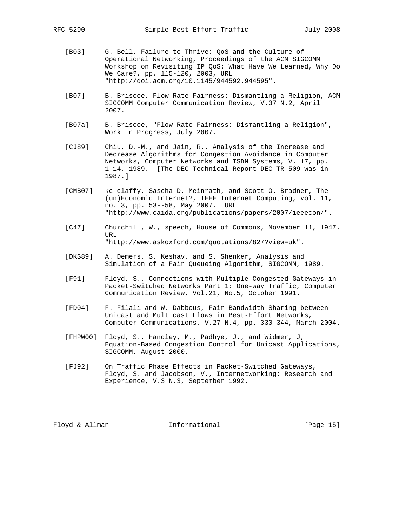- [B03] G. Bell, Failure to Thrive: QoS and the Culture of Operational Networking, Proceedings of the ACM SIGCOMM Workshop on Revisiting IP QoS: What Have We Learned, Why Do We Care?, pp. 115-120, 2003, URL "http://doi.acm.org/10.1145/944592.944595".
- [B07] B. Briscoe, Flow Rate Fairness: Dismantling a Religion, ACM SIGCOMM Computer Communication Review, V.37 N.2, April 2007.
- [B07a] B. Briscoe, "Flow Rate Fairness: Dismantling a Religion", Work in Progress, July 2007.
- [CJ89] Chiu, D.-M., and Jain, R., Analysis of the Increase and Decrease Algorithms for Congestion Avoidance in Computer Networks, Computer Networks and ISDN Systems, V. 17, pp. 1-14, 1989. [The DEC Technical Report DEC-TR-509 was in 1987.]
- [CMB07] kc claffy, Sascha D. Meinrath, and Scott O. Bradner, The (un)Economic Internet?, IEEE Internet Computing, vol. 11, no. 3, pp. 53--58, May 2007. URL "http://www.caida.org/publications/papers/2007/ieeecon/".
- [C47] Churchill, W., speech, House of Commons, November 11, 1947. URL "http://www.askoxford.com/quotations/827?view=uk".
- [DKS89] A. Demers, S. Keshav, and S. Shenker, Analysis and Simulation of a Fair Queueing Algorithm, SIGCOMM, 1989.
- [F91] Floyd, S., Connections with Multiple Congested Gateways in Packet-Switched Networks Part 1: One-way Traffic, Computer Communication Review, Vol.21, No.5, October 1991.
- [FD04] F. Filali and W. Dabbous, Fair Bandwidth Sharing between Unicast and Multicast Flows in Best-Effort Networks, Computer Communications, V.27 N.4, pp. 330-344, March 2004.
- [FHPW00] Floyd, S., Handley, M., Padhye, J., and Widmer, J, Equation-Based Congestion Control for Unicast Applications, SIGCOMM, August 2000.
- [FJ92] On Traffic Phase Effects in Packet-Switched Gateways, Floyd, S. and Jacobson, V., Internetworking: Research and Experience, V.3 N.3, September 1992.

Floyd & Allman **Informational** [Page 15]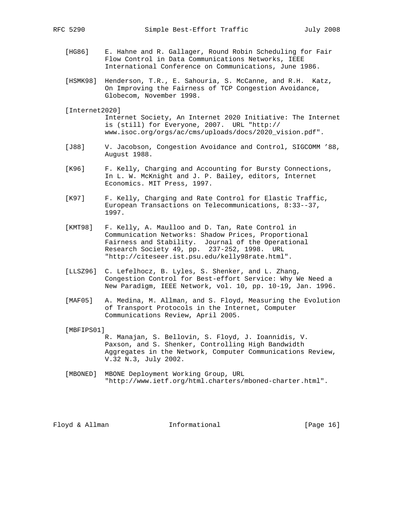- [HG86] E. Hahne and R. Gallager, Round Robin Scheduling for Fair Flow Control in Data Communications Networks, IEEE International Conference on Communications, June 1986.
- [HSMK98] Henderson, T.R., E. Sahouria, S. McCanne, and R.H. Katz, On Improving the Fairness of TCP Congestion Avoidance, Globecom, November 1998.
- [Internet2020]

 Internet Society, An Internet 2020 Initiative: The Internet is (still) for Everyone, 2007. URL "http:// www.isoc.org/orgs/ac/cms/uploads/docs/2020\_vision.pdf".

- [J88] V. Jacobson, Congestion Avoidance and Control, SIGCOMM '88, August 1988.
- [K96] F. Kelly, Charging and Accounting for Bursty Connections, In L. W. McKnight and J. P. Bailey, editors, Internet Economics. MIT Press, 1997.
- [K97] F. Kelly, Charging and Rate Control for Elastic Traffic, European Transactions on Telecommunications, 8:33--37, 1997.
- [KMT98] F. Kelly, A. Maulloo and D. Tan, Rate Control in Communication Networks: Shadow Prices, Proportional Fairness and Stability. Journal of the Operational Research Society 49, pp. 237-252, 1998. URL "http://citeseer.ist.psu.edu/kelly98rate.html".
	- [LLSZ96] C. Lefelhocz, B. Lyles, S. Shenker, and L. Zhang, Congestion Control for Best-effort Service: Why We Need a New Paradigm, IEEE Network, vol. 10, pp. 10-19, Jan. 1996.
	- [MAF05] A. Medina, M. Allman, and S. Floyd, Measuring the Evolution of Transport Protocols in the Internet, Computer Communications Review, April 2005.

[MBFIPS01]

 R. Manajan, S. Bellovin, S. Floyd, J. Ioannidis, V. Paxson, and S. Shenker, Controlling High Bandwidth Aggregates in the Network, Computer Communications Review, V.32 N.3, July 2002.

 [MBONED] MBONE Deployment Working Group, URL "http://www.ietf.org/html.charters/mboned-charter.html".

Floyd & Allman **Informational** [Page 16]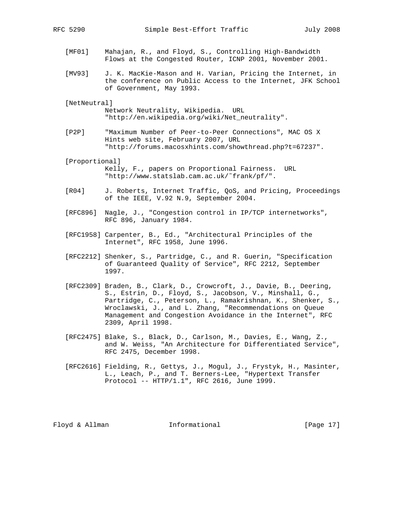- [MF01] Mahajan, R., and Floyd, S., Controlling High-Bandwidth Flows at the Congested Router, ICNP 2001, November 2001.
- [MV93] J. K. MacKie-Mason and H. Varian, Pricing the Internet, in the conference on Public Access to the Internet, JFK School of Government, May 1993.

[NetNeutral]

 Network Neutrality, Wikipedia. URL "http://en.wikipedia.org/wiki/Net\_neutrality".

- [P2P] "Maximum Number of Peer-to-Peer Connections", MAC OS X Hints web site, February 2007, URL "http://forums.macosxhints.com/showthread.php?t=67237".
- [Proportional] Kelly, F., papers on Proportional Fairness. URL "http://www.statslab.cam.ac.uk/˜frank/pf/".
- [R04] J. Roberts, Internet Traffic, QoS, and Pricing, Proceedings of the IEEE, V.92 N.9, September 2004.
- [RFC896] Nagle, J., "Congestion control in IP/TCP internetworks", RFC 896, January 1984.
- [RFC1958] Carpenter, B., Ed., "Architectural Principles of the Internet", RFC 1958, June 1996.
	- [RFC2212] Shenker, S., Partridge, C., and R. Guerin, "Specification of Guaranteed Quality of Service", RFC 2212, September 1997.
	- [RFC2309] Braden, B., Clark, D., Crowcroft, J., Davie, B., Deering, S., Estrin, D., Floyd, S., Jacobson, V., Minshall, G., Partridge, C., Peterson, L., Ramakrishnan, K., Shenker, S., Wroclawski, J., and L. Zhang, "Recommendations on Queue Management and Congestion Avoidance in the Internet", RFC 2309, April 1998.
	- [RFC2475] Blake, S., Black, D., Carlson, M., Davies, E., Wang, Z., and W. Weiss, "An Architecture for Differentiated Service", RFC 2475, December 1998.
	- [RFC2616] Fielding, R., Gettys, J., Mogul, J., Frystyk, H., Masinter, L., Leach, P., and T. Berners-Lee, "Hypertext Transfer Protocol -- HTTP/1.1", RFC 2616, June 1999.

Floyd & Allman **Informational** [Page 17]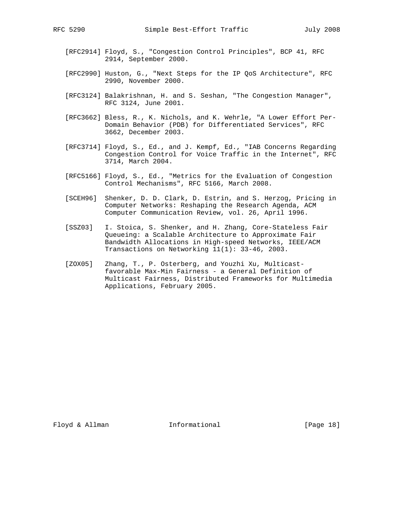- [RFC2914] Floyd, S., "Congestion Control Principles", BCP 41, RFC 2914, September 2000.
- [RFC2990] Huston, G., "Next Steps for the IP QoS Architecture", RFC 2990, November 2000.
- [RFC3124] Balakrishnan, H. and S. Seshan, "The Congestion Manager", RFC 3124, June 2001.
- [RFC3662] Bless, R., K. Nichols, and K. Wehrle, "A Lower Effort Per- Domain Behavior (PDB) for Differentiated Services", RFC 3662, December 2003.
- [RFC3714] Floyd, S., Ed., and J. Kempf, Ed., "IAB Concerns Regarding Congestion Control for Voice Traffic in the Internet", RFC 3714, March 2004.
- [RFC5166] Floyd, S., Ed., "Metrics for the Evaluation of Congestion Control Mechanisms", RFC 5166, March 2008.
- [SCEH96] Shenker, D. D. Clark, D. Estrin, and S. Herzog, Pricing in Computer Networks: Reshaping the Research Agenda, ACM Computer Communication Review, vol. 26, April 1996.
- [SSZ03] I. Stoica, S. Shenker, and H. Zhang, Core-Stateless Fair Queueing: a Scalable Architecture to Approximate Fair Bandwidth Allocations in High-speed Networks, IEEE/ACM Transactions on Networking 11(1): 33-46, 2003.
- [ZOX05] Zhang, T., P. Osterberg, and Youzhi Xu, Multicast favorable Max-Min Fairness - a General Definition of Multicast Fairness, Distributed Frameworks for Multimedia Applications, February 2005.

Floyd & Allman Informational [Page 18]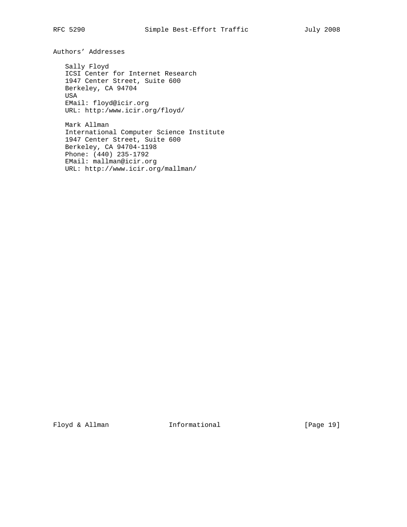Authors' Addresses

 Sally Floyd ICSI Center for Internet Research 1947 Center Street, Suite 600 Berkeley, CA 94704 USA EMail: floyd@icir.org URL: http:/www.icir.org/floyd/

 Mark Allman International Computer Science Institute 1947 Center Street, Suite 600 Berkeley, CA 94704-1198 Phone: (440) 235-1792 EMail: mallman@icir.org URL: http://www.icir.org/mallman/